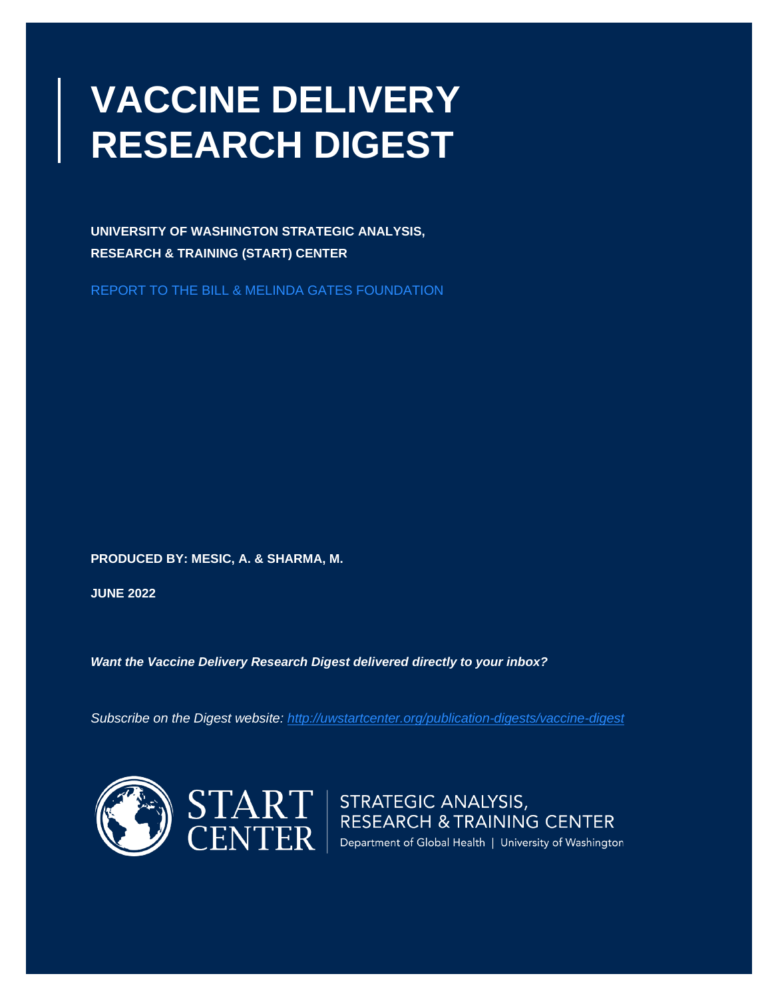# **VACCINE DELIVERY RESEARCH DIGEST**

**UNIVERSITY OF WASHINGTON STRATEGIC ANALYSIS, RESEARCH & TRAINING (START) CENTER** 

REPORT TO THE BILL & MELINDA GATES FOUNDATION

**PRODUCED BY: MESIC, A. & SHARMA, M.**

**JUNE 2022**

*Want the Vaccine Delivery Research Digest delivered directly to your inbox?*

*Subscribe on the Digest website:<http://uwstartcenter.org/publication-digests/vaccine-digest>*



 $\left|\frac{\text{START}}{\text{restriction}}\right|$  STRATEGIC ANALYSIS,<br> $\left|\frac{\text{EXERCISEARCH 8 TRAINING CENTER}}{\text{Department of Global Health | University of Washington}}\right|$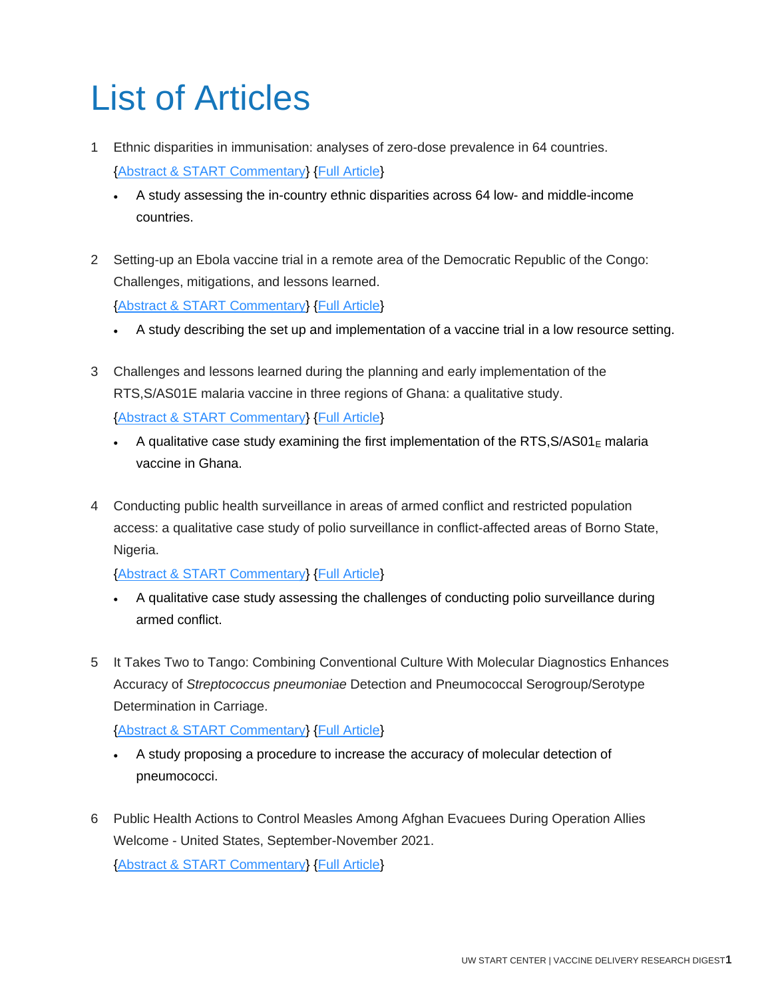# List of Articles

- 1 Ethnic disparities in immunisation: analyses of zero-dose prevalence in 64 countries. [{Abstract & START Commentary}](#page-3-0) [{Full Article}](http://doi.org/10.1136/bmjgh-2022-008833)
	- A study assessing the in-country ethnic disparities across 64 low- and middle-income countries.
- 2 Setting-up an Ebola vaccine trial in a remote area of the Democratic Republic of the Congo: Challenges, mitigations, and lessons learned. [{Abstract & START Commentary}](#page-4-0) [{Full Article}](http://doi.org/10.1016/j.vaccine.2022.04.094)
	- A study describing the set up and implementation of a vaccine trial in a low resource setting.
- 3 Challenges and lessons learned during the planning and early implementation of the RTS,S/AS01E malaria vaccine in three regions of Ghana: a qualitative study. [{Abstract & START Commentary}](#page-6-0) [{Full Article}](http://doi.org/10.1186/s12936-022-04168-9)
	- A qualitative case study examining the first implementation of the RTS,  $S/AS01<sub>E</sub>$  malaria vaccine in Ghana.
- 4 Conducting public health surveillance in areas of armed conflict and restricted population access: a qualitative case study of polio surveillance in conflict-affected areas of Borno State, Nigeria.

[{Abstract & START Commentary}](#page-8-0) [{Full Article}](http://doi.org/10.1186/s13031-022-00452-2)

- A qualitative case study assessing the challenges of conducting polio surveillance during armed conflict.
- 5 It Takes Two to Tango: Combining Conventional Culture With Molecular Diagnostics Enhances Accuracy of *Streptococcus pneumoniae* Detection and Pneumococcal Serogroup/Serotype Determination in Carriage.

[{Abstract & START Commentary}](#page-10-0) [{Full Article}](http://doi.org/10.3389/fmicb.2022.859736)

- A study proposing a procedure to increase the accuracy of molecular detection of pneumococci.
- 6 Public Health Actions to Control Measles Among Afghan Evacuees During Operation Allies Welcome - United States, September-November 2021.

[{Abstract & START Commentary}](#page-12-0) [{Full Article}](http://doi.org/10.15585/mmwr.mm7117a2)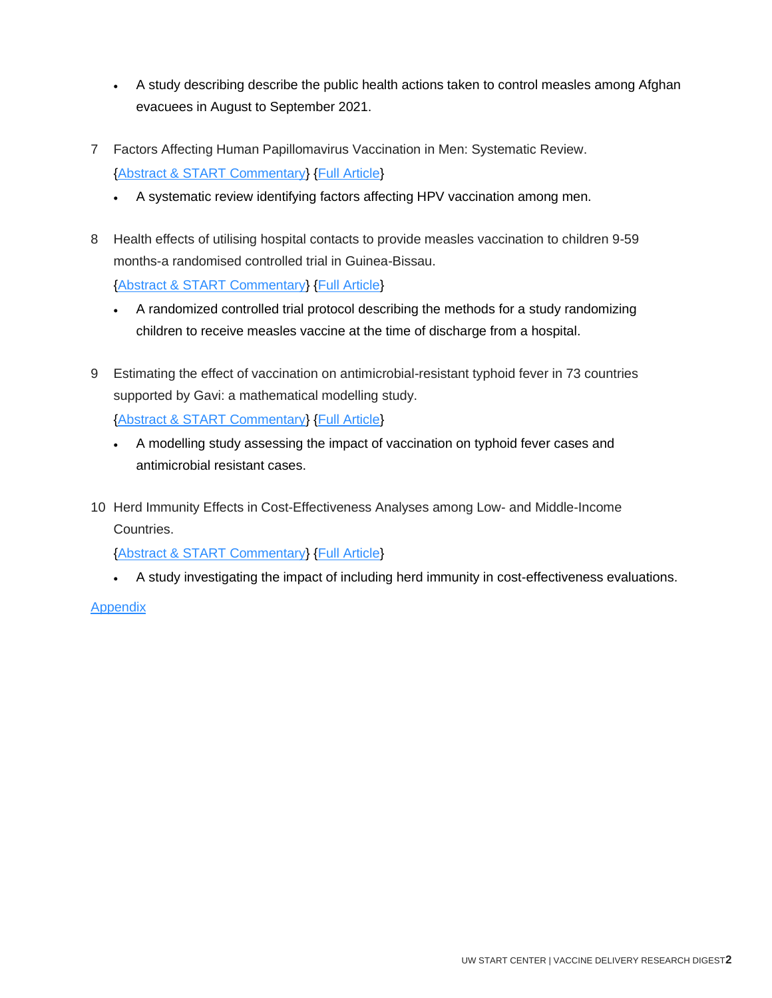- A study describing describe the public health actions taken to control measles among Afghan evacuees in August to September 2021.
- 7 Factors Affecting Human Papillomavirus Vaccination in Men: Systematic Review. [{Abstract & START Commentary}](#page-14-0) [{Full Article}](http://doi.org/10.2196/34070)
	- A systematic review identifying factors affecting HPV vaccination among men.
- 8 Health effects of utilising hospital contacts to provide measles vaccination to children 9-59 months-a randomised controlled trial in Guinea-Bissau.

[{Abstract & START Commentary}](#page-16-0) [{Full Article}](http://doi.org/10.1186/s13063-022-06291-z)

- A randomized controlled trial protocol describing the methods for a study randomizing children to receive measles vaccine at the time of discharge from a hospital.
- 9 Estimating the effect of vaccination on antimicrobial-resistant typhoid fever in 73 countries supported by Gavi: a mathematical modelling study.

[{Abstract & START Commentary}](#page-18-0) [{Full Article}](http://doi.org/10.1016/S1473-3099(21)00627-7)

- A modelling study assessing the impact of vaccination on typhoid fever cases and antimicrobial resistant cases.
- 10 Herd Immunity Effects in Cost-Effectiveness Analyses among Low- and Middle-Income Countries.

[{Abstract & START Commentary}](#page-20-0) [{Full Article}](http://doi.org/10.1007/s40258-021-00711-y)

• A study investigating the impact of including herd immunity in cost-effectiveness evaluations.

Appendix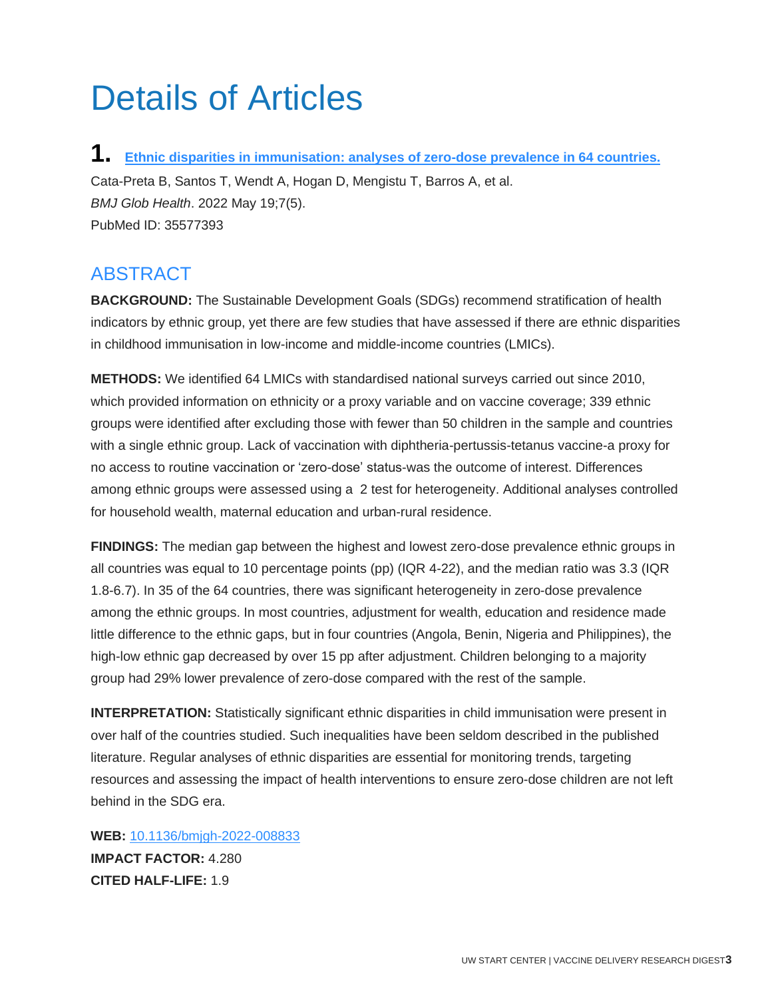## Details of Articles

<span id="page-3-0"></span>**1. [Ethnic disparities in immunisation: analyses of zero-dose prevalence in 64 countries.](http://doi.org/10.1136/bmjgh-2022-008833)** Cata-Preta B, Santos T, Wendt A, Hogan D, Mengistu T, Barros A, et al. *BMJ Glob Health*. 2022 May 19;7(5). PubMed ID: 35577393

#### ABSTRACT

**BACKGROUND:** The Sustainable Development Goals (SDGs) recommend stratification of health indicators by ethnic group, yet there are few studies that have assessed if there are ethnic disparities in childhood immunisation in low-income and middle-income countries (LMICs).

**METHODS:** We identified 64 LMICs with standardised national surveys carried out since 2010, which provided information on ethnicity or a proxy variable and on vaccine coverage; 339 ethnic groups were identified after excluding those with fewer than 50 children in the sample and countries with a single ethnic group. Lack of vaccination with diphtheria-pertussis-tetanus vaccine-a proxy for no access to routine vaccination or 'zero-dose' status-was the outcome of interest. Differences among ethnic groups were assessed using a 2 test for heterogeneity. Additional analyses controlled for household wealth, maternal education and urban-rural residence.

**FINDINGS:** The median gap between the highest and lowest zero-dose prevalence ethnic groups in all countries was equal to 10 percentage points (pp) (IQR 4-22), and the median ratio was 3.3 (IQR 1.8-6.7). In 35 of the 64 countries, there was significant heterogeneity in zero-dose prevalence among the ethnic groups. In most countries, adjustment for wealth, education and residence made little difference to the ethnic gaps, but in four countries (Angola, Benin, Nigeria and Philippines), the high-low ethnic gap decreased by over 15 pp after adjustment. Children belonging to a majority group had 29% lower prevalence of zero-dose compared with the rest of the sample.

**INTERPRETATION:** Statistically significant ethnic disparities in child immunisation were present in over half of the countries studied. Such inequalities have been seldom described in the published literature. Regular analyses of ethnic disparities are essential for monitoring trends, targeting resources and assessing the impact of health interventions to ensure zero-dose children are not left behind in the SDG era.

**WEB:** [10.1136/bmjgh-2022-008833](http://doi.org/10.1136/bmjgh-2022-008833) **IMPACT FACTOR:** 4.280 **CITED HALF-LIFE:** 1.9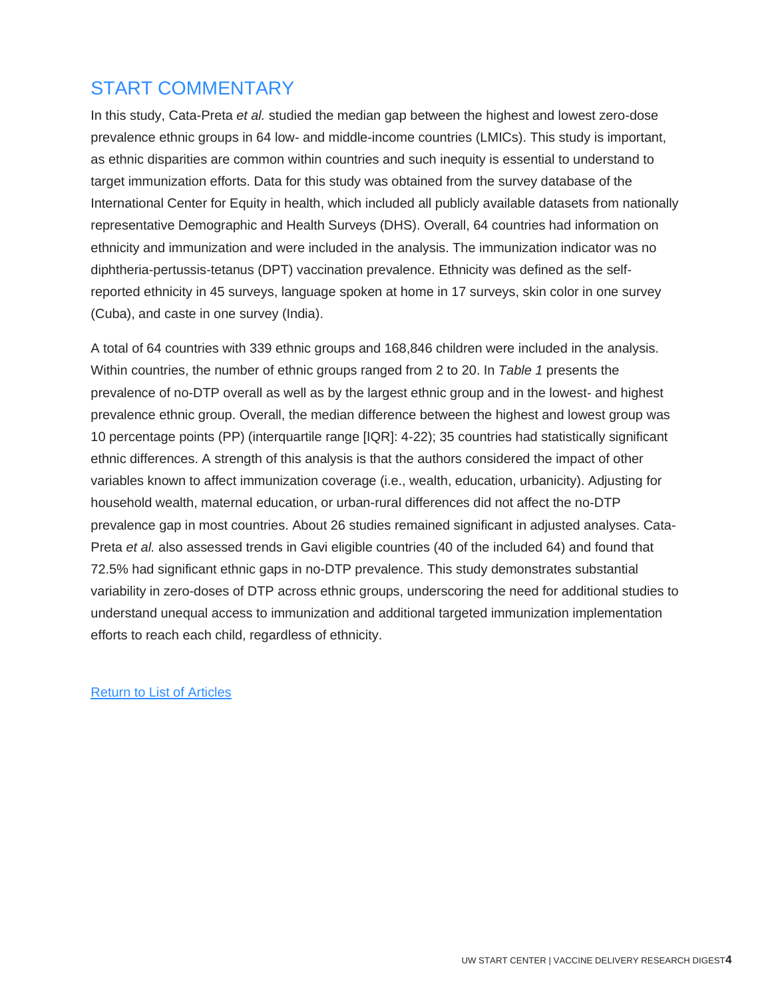## START COMMENTARY

In this study, Cata-Preta *et al.* studied the median gap between the highest and lowest zero-dose prevalence ethnic groups in 64 low- and middle-income countries (LMICs). This study is important, as ethnic disparities are common within countries and such inequity is essential to understand to target immunization efforts. Data for this study was obtained from the survey database of the International Center for Equity in health, which included all publicly available datasets from nationally representative Demographic and Health Surveys (DHS). Overall, 64 countries had information on ethnicity and immunization and were included in the analysis. The immunization indicator was no diphtheria-pertussis-tetanus (DPT) vaccination prevalence. Ethnicity was defined as the selfreported ethnicity in 45 surveys, language spoken at home in 17 surveys, skin color in one survey (Cuba), and caste in one survey (India).

<span id="page-4-0"></span>A total of 64 countries with 339 ethnic groups and 168,846 children were included in the analysis. Within countries, the number of ethnic groups ranged from 2 to 20. In *Table 1* presents the prevalence of no-DTP overall as well as by the largest ethnic group and in the lowest- and highest prevalence ethnic group. Overall, the median difference between the highest and lowest group was 10 percentage points (PP) (interquartile range [IQR]: 4-22); 35 countries had statistically significant ethnic differences. A strength of this analysis is that the authors considered the impact of other variables known to affect immunization coverage (i.e., wealth, education, urbanicity). Adjusting for household wealth, maternal education, or urban-rural differences did not affect the no-DTP prevalence gap in most countries. About 26 studies remained significant in adjusted analyses. Cata-Preta *et al.* also assessed trends in Gavi eligible countries (40 of the included 64) and found that 72.5% had significant ethnic gaps in no-DTP prevalence. This study demonstrates substantial variability in zero-doses of DTP across ethnic groups, underscoring the need for additional studies to understand unequal access to immunization and additional targeted immunization implementation efforts to reach each child, regardless of ethnicity.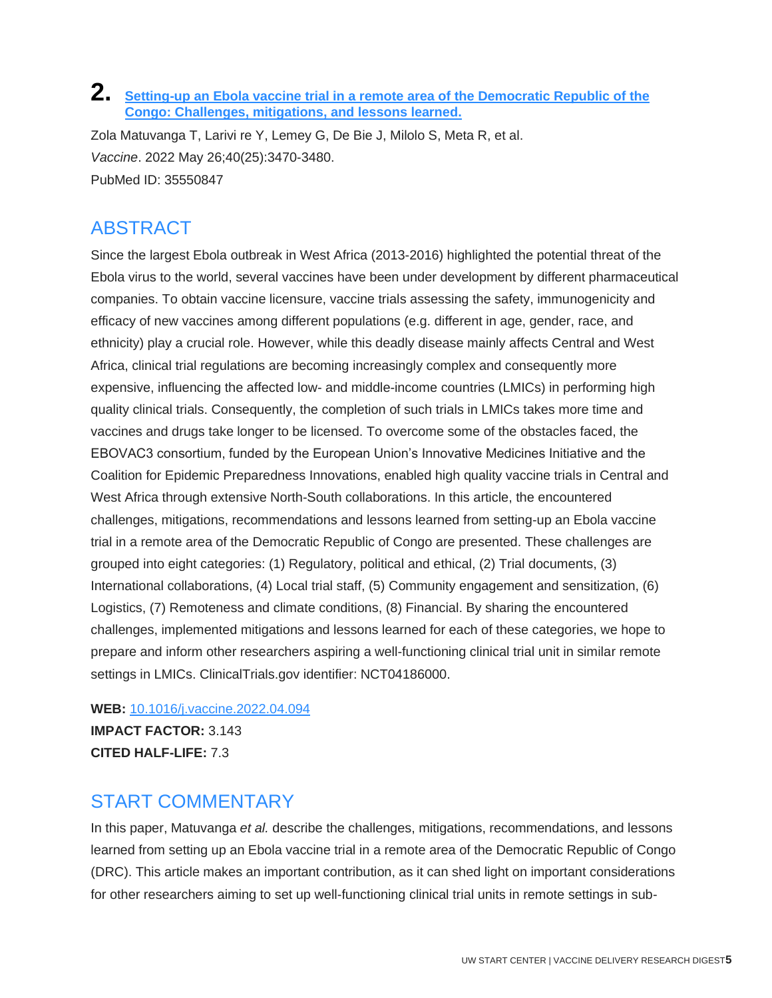#### **2. [Setting-up an Ebola vaccine trial in a remote area of the Democratic Republic of the](http://doi.org/10.1016/j.vaccine.2022.04.094)  [Congo: Challenges, mitigations, and lessons learned.](http://doi.org/10.1016/j.vaccine.2022.04.094)**

Zola Matuvanga T, Larivi re Y, Lemey G, De Bie J, Milolo S, Meta R, et al. *Vaccine*. 2022 May 26;40(25):3470-3480. PubMed ID: 35550847

## **ABSTRACT**

Since the largest Ebola outbreak in West Africa (2013-2016) highlighted the potential threat of the Ebola virus to the world, several vaccines have been under development by different pharmaceutical companies. To obtain vaccine licensure, vaccine trials assessing the safety, immunogenicity and efficacy of new vaccines among different populations (e.g. different in age, gender, race, and ethnicity) play a crucial role. However, while this deadly disease mainly affects Central and West Africa, clinical trial regulations are becoming increasingly complex and consequently more expensive, influencing the affected low- and middle-income countries (LMICs) in performing high quality clinical trials. Consequently, the completion of such trials in LMICs takes more time and vaccines and drugs take longer to be licensed. To overcome some of the obstacles faced, the EBOVAC3 consortium, funded by the European Union's Innovative Medicines Initiative and the Coalition for Epidemic Preparedness Innovations, enabled high quality vaccine trials in Central and West Africa through extensive North-South collaborations. In this article, the encountered challenges, mitigations, recommendations and lessons learned from setting-up an Ebola vaccine trial in a remote area of the Democratic Republic of Congo are presented. These challenges are grouped into eight categories: (1) Regulatory, political and ethical, (2) Trial documents, (3) International collaborations, (4) Local trial staff, (5) Community engagement and sensitization, (6) Logistics, (7) Remoteness and climate conditions, (8) Financial. By sharing the encountered challenges, implemented mitigations and lessons learned for each of these categories, we hope to prepare and inform other researchers aspiring a well-functioning clinical trial unit in similar remote settings in LMICs. ClinicalTrials.gov identifier: NCT04186000.

#### **WEB:** [10.1016/j.vaccine.2022.04.094](http://doi.org/10.1016/j.vaccine.2022.04.094)

**IMPACT FACTOR:** 3.143 **CITED HALF-LIFE:** 7.3

#### START COMMENTARY

In this paper, Matuvanga *et al.* describe the challenges, mitigations, recommendations, and lessons learned from setting up an Ebola vaccine trial in a remote area of the Democratic Republic of Congo (DRC). This article makes an important contribution, as it can shed light on important considerations for other researchers aiming to set up well-functioning clinical trial units in remote settings in sub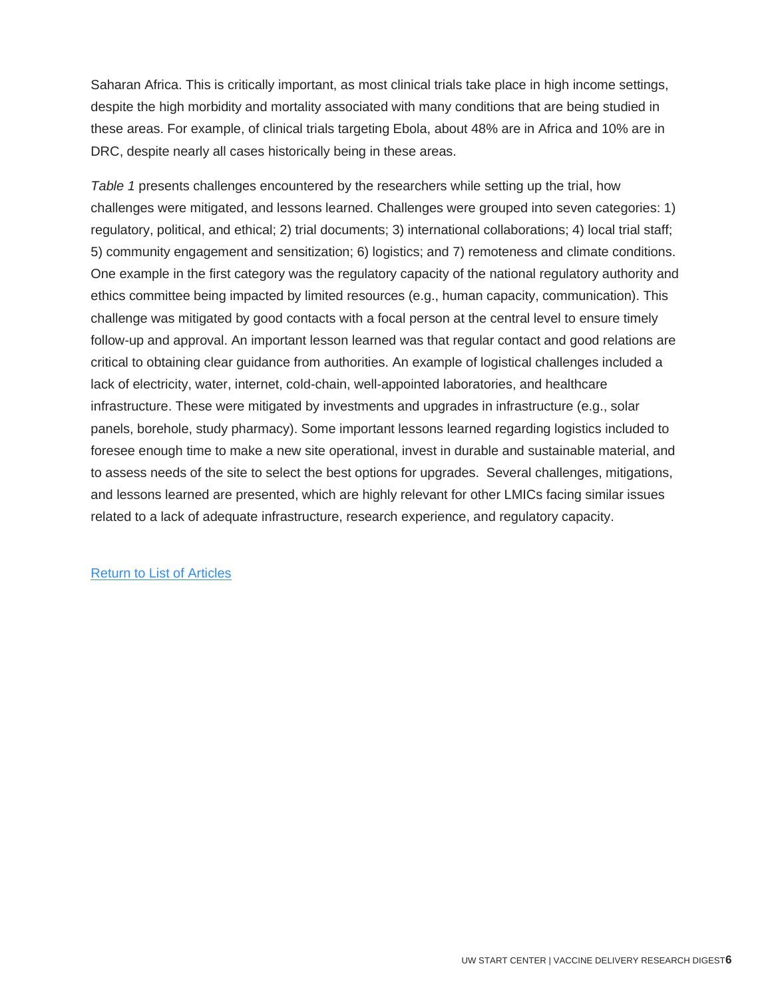Saharan Africa. This is critically important, as most clinical trials take place in high income settings, despite the high morbidity and mortality associated with many conditions that are being studied in these areas. For example, of clinical trials targeting Ebola, about 48% are in Africa and 10% are in DRC, despite nearly all cases historically being in these areas.

<span id="page-6-0"></span>*Table 1* presents challenges encountered by the researchers while setting up the trial, how challenges were mitigated, and lessons learned. Challenges were grouped into seven categories: 1) regulatory, political, and ethical; 2) trial documents; 3) international collaborations; 4) local trial staff; 5) community engagement and sensitization; 6) logistics; and 7) remoteness and climate conditions. One example in the first category was the regulatory capacity of the national regulatory authority and ethics committee being impacted by limited resources (e.g., human capacity, communication). This challenge was mitigated by good contacts with a focal person at the central level to ensure timely follow-up and approval. An important lesson learned was that regular contact and good relations are critical to obtaining clear guidance from authorities. An example of logistical challenges included a lack of electricity, water, internet, cold-chain, well-appointed laboratories, and healthcare infrastructure. These were mitigated by investments and upgrades in infrastructure (e.g., solar panels, borehole, study pharmacy). Some important lessons learned regarding logistics included to foresee enough time to make a new site operational, invest in durable and sustainable material, and to assess needs of the site to select the best options for upgrades. Several challenges, mitigations, and lessons learned are presented, which are highly relevant for other LMICs facing similar issues related to a lack of adequate infrastructure, research experience, and regulatory capacity.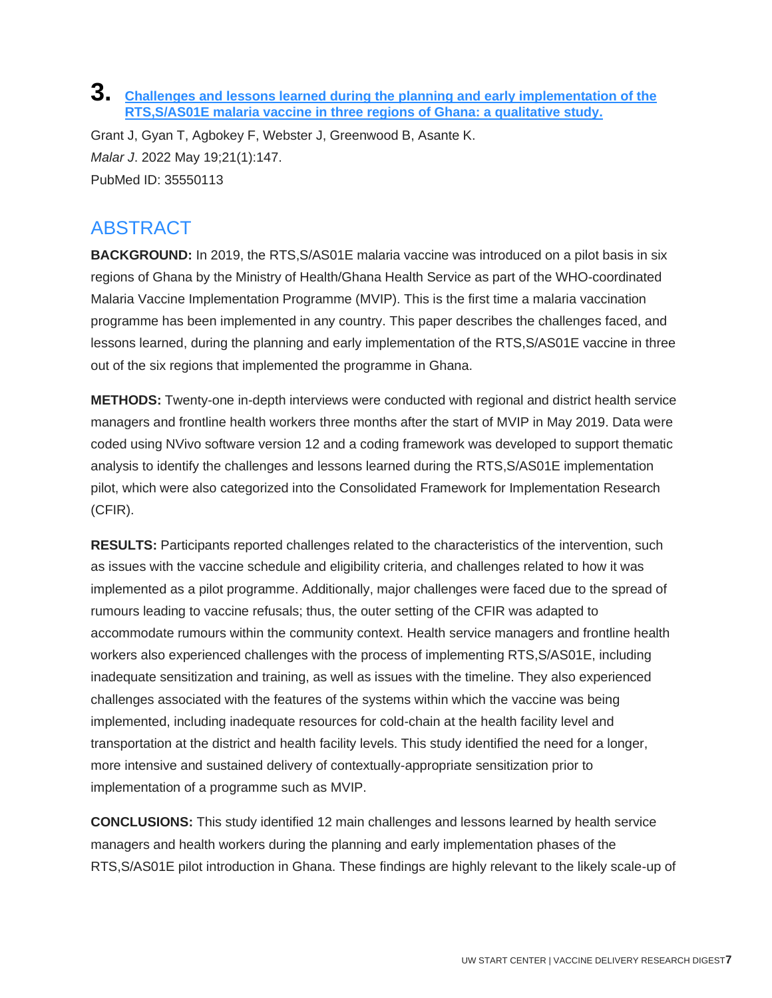#### **3. [Challenges and lessons learned during the planning and early implementation of the](http://doi.org/10.1186/s12936-022-04168-9)  [RTS,S/AS01E malaria vaccine in three regions of Ghana: a qualitative study.](http://doi.org/10.1186/s12936-022-04168-9)**

Grant J, Gyan T, Agbokey F, Webster J, Greenwood B, Asante K. *Malar J*. 2022 May 19;21(1):147. PubMed ID: 35550113

## **ABSTRACT**

**BACKGROUND:** In 2019, the RTS, S/AS01E malaria vaccine was introduced on a pilot basis in six regions of Ghana by the Ministry of Health/Ghana Health Service as part of the WHO-coordinated Malaria Vaccine Implementation Programme (MVIP). This is the first time a malaria vaccination programme has been implemented in any country. This paper describes the challenges faced, and lessons learned, during the planning and early implementation of the RTS,S/AS01E vaccine in three out of the six regions that implemented the programme in Ghana.

**METHODS:** Twenty-one in-depth interviews were conducted with regional and district health service managers and frontline health workers three months after the start of MVIP in May 2019. Data were coded using NVivo software version 12 and a coding framework was developed to support thematic analysis to identify the challenges and lessons learned during the RTS,S/AS01E implementation pilot, which were also categorized into the Consolidated Framework for Implementation Research (CFIR).

**RESULTS:** Participants reported challenges related to the characteristics of the intervention, such as issues with the vaccine schedule and eligibility criteria, and challenges related to how it was implemented as a pilot programme. Additionally, major challenges were faced due to the spread of rumours leading to vaccine refusals; thus, the outer setting of the CFIR was adapted to accommodate rumours within the community context. Health service managers and frontline health workers also experienced challenges with the process of implementing RTS,S/AS01E, including inadequate sensitization and training, as well as issues with the timeline. They also experienced challenges associated with the features of the systems within which the vaccine was being implemented, including inadequate resources for cold-chain at the health facility level and transportation at the district and health facility levels. This study identified the need for a longer, more intensive and sustained delivery of contextually-appropriate sensitization prior to implementation of a programme such as MVIP.

**CONCLUSIONS:** This study identified 12 main challenges and lessons learned by health service managers and health workers during the planning and early implementation phases of the RTS,S/AS01E pilot introduction in Ghana. These findings are highly relevant to the likely scale-up of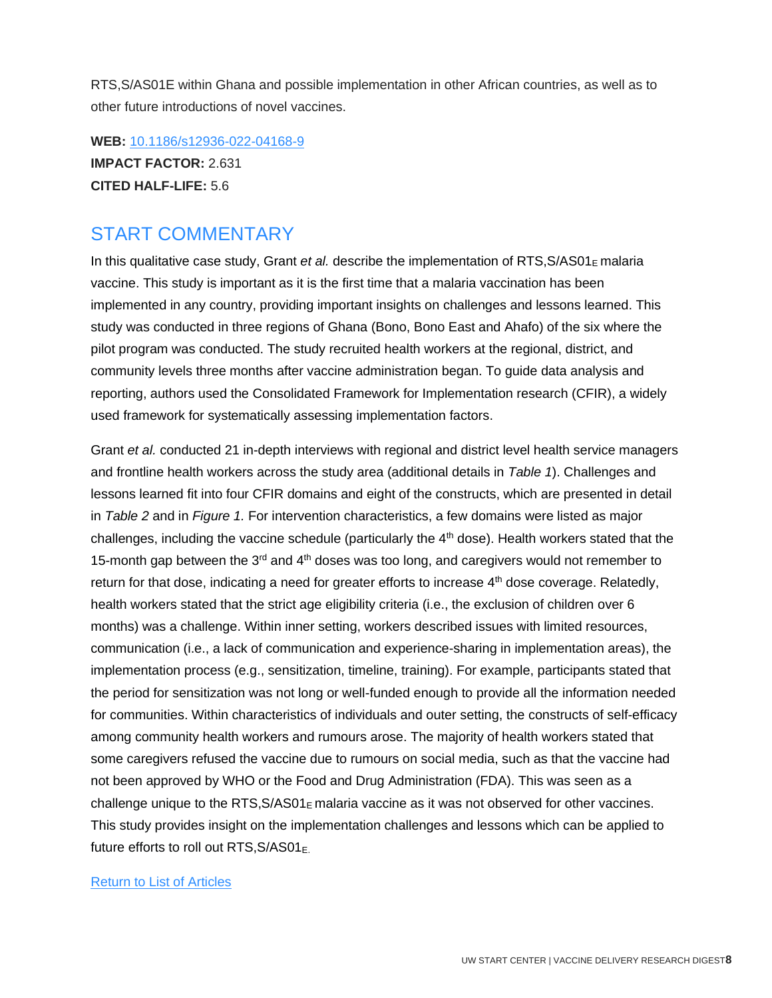RTS,S/AS01E within Ghana and possible implementation in other African countries, as well as to other future introductions of novel vaccines.

**WEB:** [10.1186/s12936-022-04168-9](http://doi.org/10.1186/s12936-022-04168-9) **IMPACT FACTOR:** 2.631 **CITED HALF-LIFE:** 5.6

#### START COMMENTARY

In this qualitative case study, Grant *et al.* describe the implementation of RTS, S/AS01<sub>E</sub> malaria vaccine. This study is important as it is the first time that a malaria vaccination has been implemented in any country, providing important insights on challenges and lessons learned. This study was conducted in three regions of Ghana (Bono, Bono East and Ahafo) of the six where the pilot program was conducted. The study recruited health workers at the regional, district, and community levels three months after vaccine administration began. To guide data analysis and reporting, authors used the Consolidated Framework for Implementation research (CFIR), a widely used framework for systematically assessing implementation factors.

<span id="page-8-0"></span>Grant *et al.* conducted 21 in-depth interviews with regional and district level health service managers and frontline health workers across the study area (additional details in *Table 1*). Challenges and lessons learned fit into four CFIR domains and eight of the constructs, which are presented in detail in *Table 2* and in *Figure 1.* For intervention characteristics, a few domains were listed as major challenges, including the vaccine schedule (particularly the  $4<sup>th</sup>$  dose). Health workers stated that the 15-month gap between the  $3<sup>rd</sup>$  and  $4<sup>th</sup>$  doses was too long, and caregivers would not remember to return for that dose, indicating a need for greater efforts to increase 4<sup>th</sup> dose coverage. Relatedly, health workers stated that the strict age eligibility criteria (i.e., the exclusion of children over 6 months) was a challenge. Within inner setting, workers described issues with limited resources, communication (i.e., a lack of communication and experience-sharing in implementation areas), the implementation process (e.g., sensitization, timeline, training). For example, participants stated that the period for sensitization was not long or well-funded enough to provide all the information needed for communities. Within characteristics of individuals and outer setting, the constructs of self-efficacy among community health workers and rumours arose. The majority of health workers stated that some caregivers refused the vaccine due to rumours on social media, such as that the vaccine had not been approved by WHO or the Food and Drug Administration (FDA). This was seen as a challenge unique to the  $RTS$ , $S/AS01<sub>E</sub>$  malaria vaccine as it was not observed for other vaccines. This study provides insight on the implementation challenges and lessons which can be applied to future efforts to roll out RTS,  $S/AS01<sub>E</sub>$ .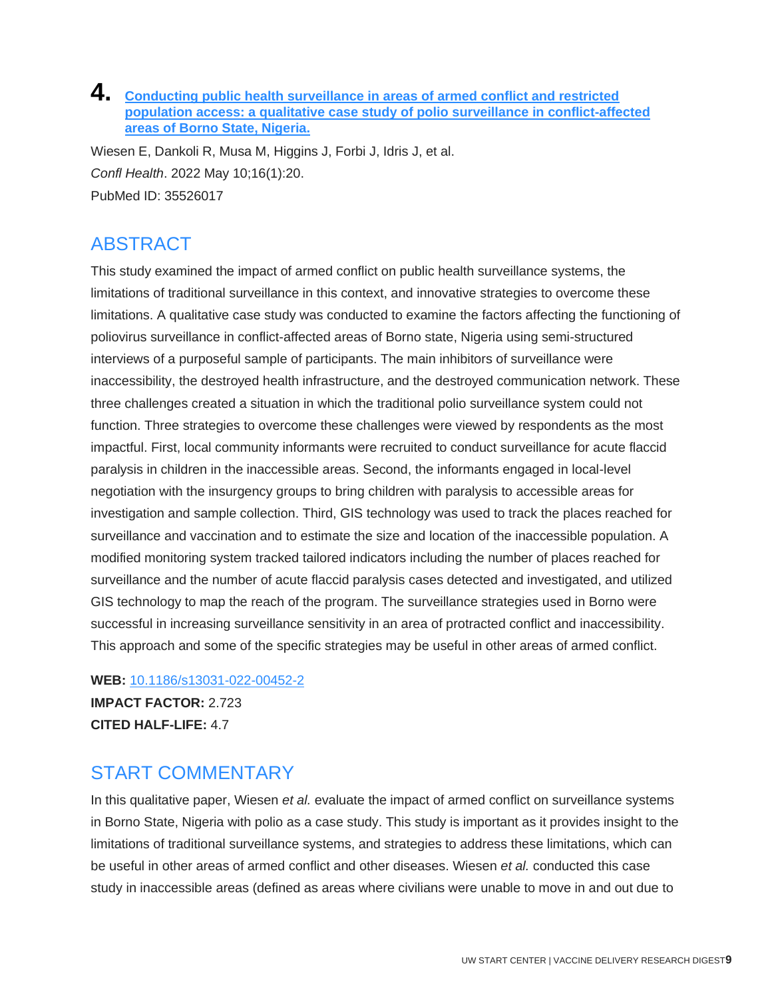#### **4. [Conducting public health surveillance in areas of armed conflict and restricted](http://doi.org/10.1186/s13031-022-00452-2)  [population access: a qualitative case study of polio surveillance in conflict-affected](http://doi.org/10.1186/s13031-022-00452-2)  [areas of Borno State, Nigeria.](http://doi.org/10.1186/s13031-022-00452-2)**

Wiesen E, Dankoli R, Musa M, Higgins J, Forbi J, Idris J, et al. *Confl Health*. 2022 May 10;16(1):20. PubMed ID: 35526017

## ABSTRACT

This study examined the impact of armed conflict on public health surveillance systems, the limitations of traditional surveillance in this context, and innovative strategies to overcome these limitations. A qualitative case study was conducted to examine the factors affecting the functioning of poliovirus surveillance in conflict-affected areas of Borno state, Nigeria using semi-structured interviews of a purposeful sample of participants. The main inhibitors of surveillance were inaccessibility, the destroyed health infrastructure, and the destroyed communication network. These three challenges created a situation in which the traditional polio surveillance system could not function. Three strategies to overcome these challenges were viewed by respondents as the most impactful. First, local community informants were recruited to conduct surveillance for acute flaccid paralysis in children in the inaccessible areas. Second, the informants engaged in local-level negotiation with the insurgency groups to bring children with paralysis to accessible areas for investigation and sample collection. Third, GIS technology was used to track the places reached for surveillance and vaccination and to estimate the size and location of the inaccessible population. A modified monitoring system tracked tailored indicators including the number of places reached for surveillance and the number of acute flaccid paralysis cases detected and investigated, and utilized GIS technology to map the reach of the program. The surveillance strategies used in Borno were successful in increasing surveillance sensitivity in an area of protracted conflict and inaccessibility. This approach and some of the specific strategies may be useful in other areas of armed conflict.

**WEB:** [10.1186/s13031-022-00452-2](http://doi.org/10.1186/s13031-022-00452-2)

**IMPACT FACTOR:** 2.723 **CITED HALF-LIFE:** 4.7

## START COMMENTARY

In this qualitative paper, Wiesen *et al.* evaluate the impact of armed conflict on surveillance systems in Borno State, Nigeria with polio as a case study. This study is important as it provides insight to the limitations of traditional surveillance systems, and strategies to address these limitations, which can be useful in other areas of armed conflict and other diseases. Wiesen *et al.* conducted this case study in inaccessible areas (defined as areas where civilians were unable to move in and out due to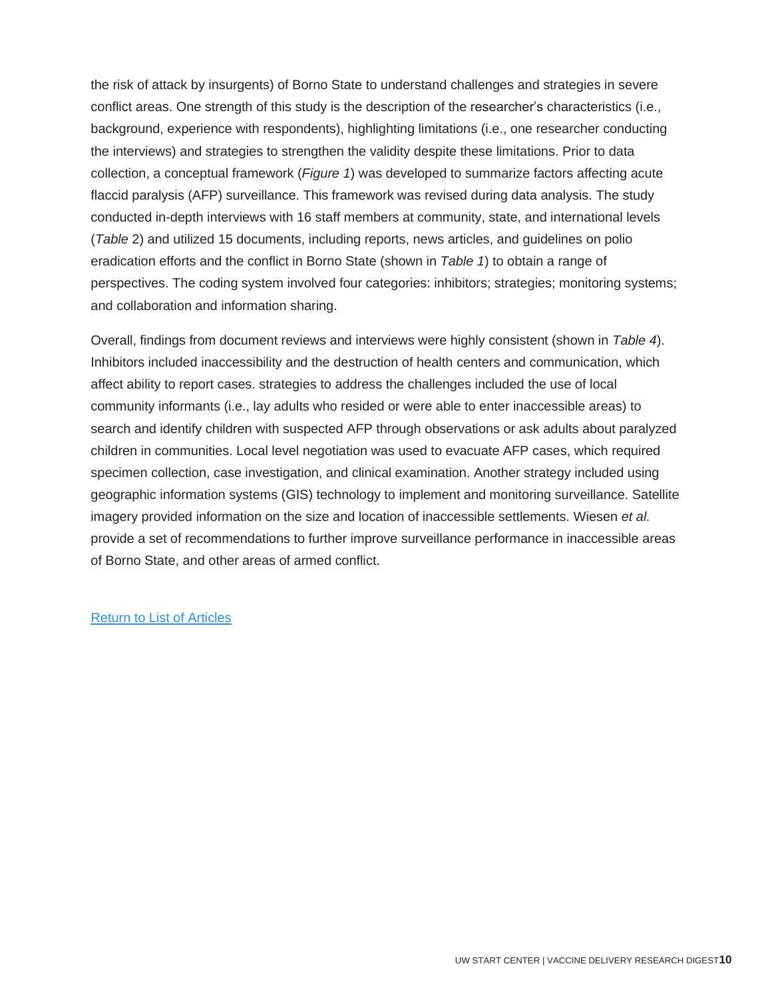the risk of attack by insurgents) of Borno State to understand challenges and strategies in severe conflict areas. One strength of this study is the description of the researcher's characteristics (i.e., background, experience with respondents), highlighting limitations (i.e., one researcher conducting the interviews) and strategies to strengthen the validity despite these limitations. Prior to data collection, a conceptual framework (*Figure 1*) was developed to summarize factors affecting acute flaccid paralysis (AFP) surveillance. This framework was revised during data analysis. The study conducted in-depth interviews with 16 staff members at community, state, and international levels (*Table* 2) and utilized 15 documents, including reports, news articles, and guidelines on polio eradication efforts and the conflict in Borno State (shown in *Table 1*) to obtain a range of perspectives. The coding system involved four categories: inhibitors; strategies; monitoring systems; and collaboration and information sharing.

<span id="page-10-0"></span>Overall, findings from document reviews and interviews were highly consistent (shown in *Table 4*). Inhibitors included inaccessibility and the destruction of health centers and communication, which affect ability to report cases. strategies to address the challenges included the use of local community informants (i.e., lay adults who resided or were able to enter inaccessible areas) to search and identify children with suspected AFP through observations or ask adults about paralyzed children in communities. Local level negotiation was used to evacuate AFP cases, which required specimen collection, case investigation, and clinical examination. Another strategy included using geographic information systems (GIS) technology to implement and monitoring surveillance. Satellite imagery provided information on the size and location of inaccessible settlements. Wiesen *et al.*  provide a set of recommendations to further improve surveillance performance in inaccessible areas of Borno State, and other areas of armed conflict.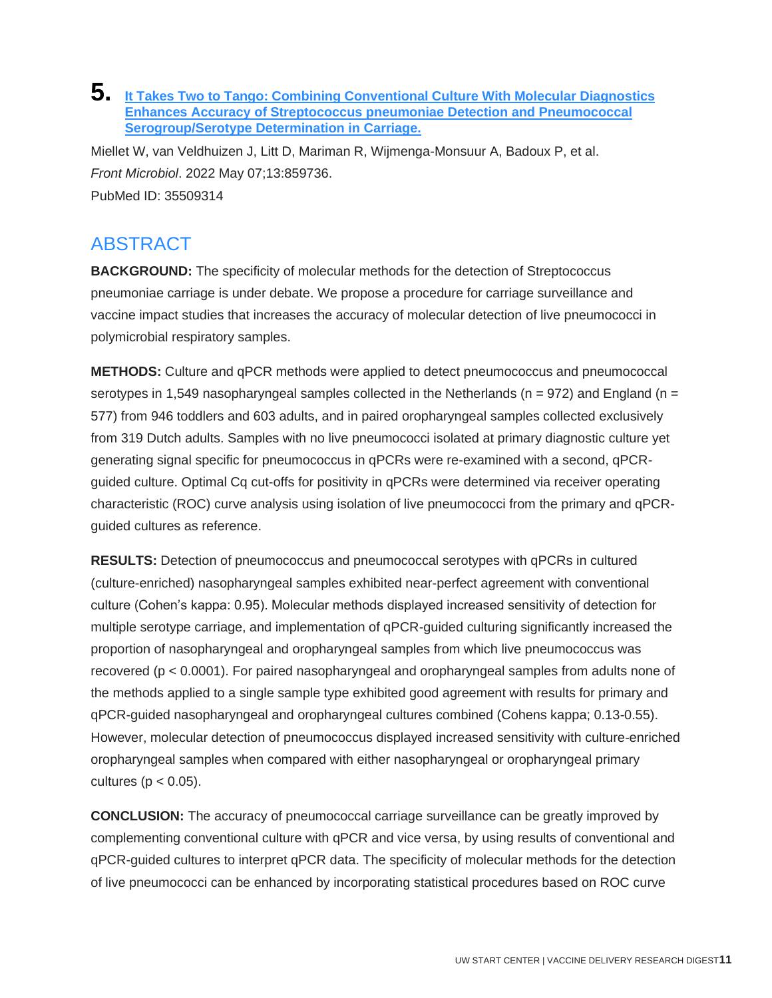#### **5. [It Takes Two to Tango: Combining Conventional Culture With Molecular Diagnostics](http://doi.org/10.3389/fmicb.2022.859736)  [Enhances Accuracy of Streptococcus pneumoniae Detection and Pneumococcal](http://doi.org/10.3389/fmicb.2022.859736)  [Serogroup/Serotype Determination in Carriage.](http://doi.org/10.3389/fmicb.2022.859736)**

Miellet W, van Veldhuizen J, Litt D, Mariman R, Wijmenga-Monsuur A, Badoux P, et al. *Front Microbiol*. 2022 May 07;13:859736. PubMed ID: 35509314

## ABSTRACT

**BACKGROUND:** The specificity of molecular methods for the detection of Streptococcus pneumoniae carriage is under debate. We propose a procedure for carriage surveillance and vaccine impact studies that increases the accuracy of molecular detection of live pneumococci in polymicrobial respiratory samples.

**METHODS:** Culture and qPCR methods were applied to detect pneumococcus and pneumococcal serotypes in 1,549 nasopharyngeal samples collected in the Netherlands ( $n = 972$ ) and England ( $n =$ 577) from 946 toddlers and 603 adults, and in paired oropharyngeal samples collected exclusively from 319 Dutch adults. Samples with no live pneumococci isolated at primary diagnostic culture yet generating signal specific for pneumococcus in qPCRs were re-examined with a second, qPCRguided culture. Optimal Cq cut-offs for positivity in qPCRs were determined via receiver operating characteristic (ROC) curve analysis using isolation of live pneumococci from the primary and qPCRguided cultures as reference.

**RESULTS:** Detection of pneumococcus and pneumococcal serotypes with qPCRs in cultured (culture-enriched) nasopharyngeal samples exhibited near-perfect agreement with conventional culture (Cohen's kappa: 0.95). Molecular methods displayed increased sensitivity of detection for multiple serotype carriage, and implementation of qPCR-guided culturing significantly increased the proportion of nasopharyngeal and oropharyngeal samples from which live pneumococcus was recovered (p < 0.0001). For paired nasopharyngeal and oropharyngeal samples from adults none of the methods applied to a single sample type exhibited good agreement with results for primary and qPCR-guided nasopharyngeal and oropharyngeal cultures combined (Cohens kappa; 0.13-0.55). However, molecular detection of pneumococcus displayed increased sensitivity with culture-enriched oropharyngeal samples when compared with either nasopharyngeal or oropharyngeal primary cultures ( $p < 0.05$ ).

**CONCLUSION:** The accuracy of pneumococcal carriage surveillance can be greatly improved by complementing conventional culture with qPCR and vice versa, by using results of conventional and qPCR-guided cultures to interpret qPCR data. The specificity of molecular methods for the detection of live pneumococci can be enhanced by incorporating statistical procedures based on ROC curve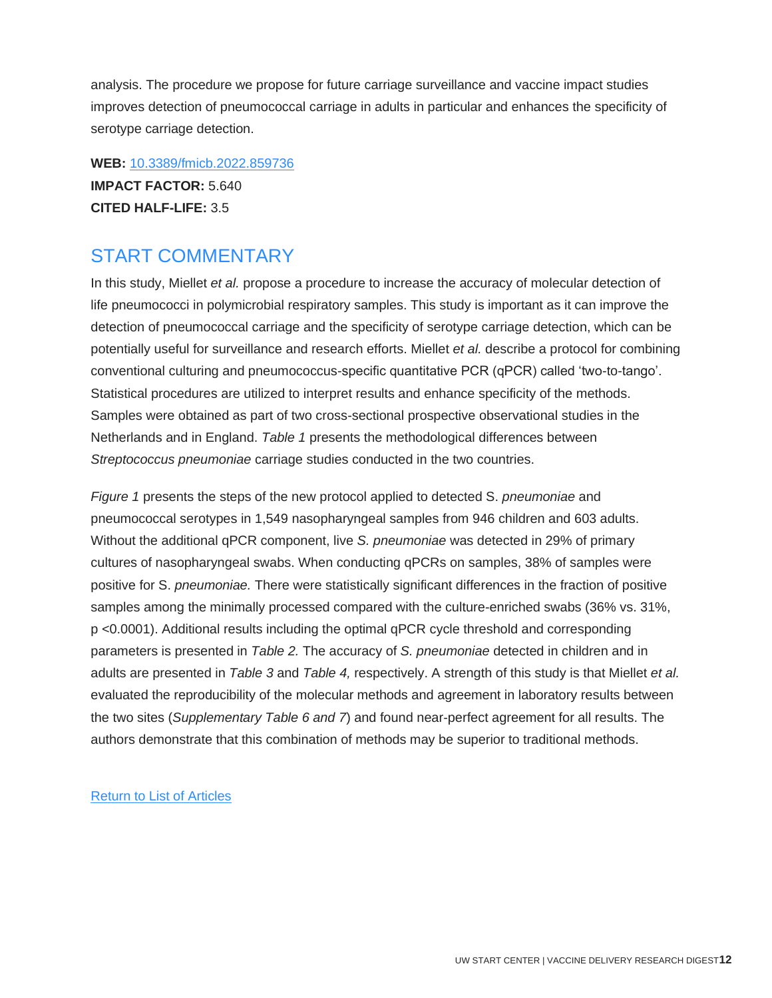analysis. The procedure we propose for future carriage surveillance and vaccine impact studies improves detection of pneumococcal carriage in adults in particular and enhances the specificity of serotype carriage detection.

**WEB:** [10.3389/fmicb.2022.859736](http://doi.org/10.3389/fmicb.2022.859736) **IMPACT FACTOR:** 5.640 **CITED HALF-LIFE:** 3.5

#### START COMMENTARY

In this study, Miellet *et al.* propose a procedure to increase the accuracy of molecular detection of life pneumococci in polymicrobial respiratory samples. This study is important as it can improve the detection of pneumococcal carriage and the specificity of serotype carriage detection, which can be potentially useful for surveillance and research efforts. Miellet *et al.* describe a protocol for combining conventional culturing and pneumococcus-specific quantitative PCR (qPCR) called 'two-to-tango'. Statistical procedures are utilized to interpret results and enhance specificity of the methods. Samples were obtained as part of two cross-sectional prospective observational studies in the Netherlands and in England. *Table 1* presents the methodological differences between *Streptococcus pneumoniae* carriage studies conducted in the two countries.

<span id="page-12-0"></span>*Figure 1* presents the steps of the new protocol applied to detected S. *pneumoniae* and pneumococcal serotypes in 1,549 nasopharyngeal samples from 946 children and 603 adults. Without the additional qPCR component, live *S. pneumoniae* was detected in 29% of primary cultures of nasopharyngeal swabs. When conducting qPCRs on samples, 38% of samples were positive for S. *pneumoniae.* There were statistically significant differences in the fraction of positive samples among the minimally processed compared with the culture-enriched swabs (36% vs. 31%, p <0.0001). Additional results including the optimal qPCR cycle threshold and corresponding parameters is presented in *Table 2.* The accuracy of *S. pneumoniae* detected in children and in adults are presented in *Table 3* and *Table 4,* respectively. A strength of this study is that Miellet *et al.*  evaluated the reproducibility of the molecular methods and agreement in laboratory results between the two sites (*Supplementary Table 6 and 7*) and found near-perfect agreement for all results. The authors demonstrate that this combination of methods may be superior to traditional methods.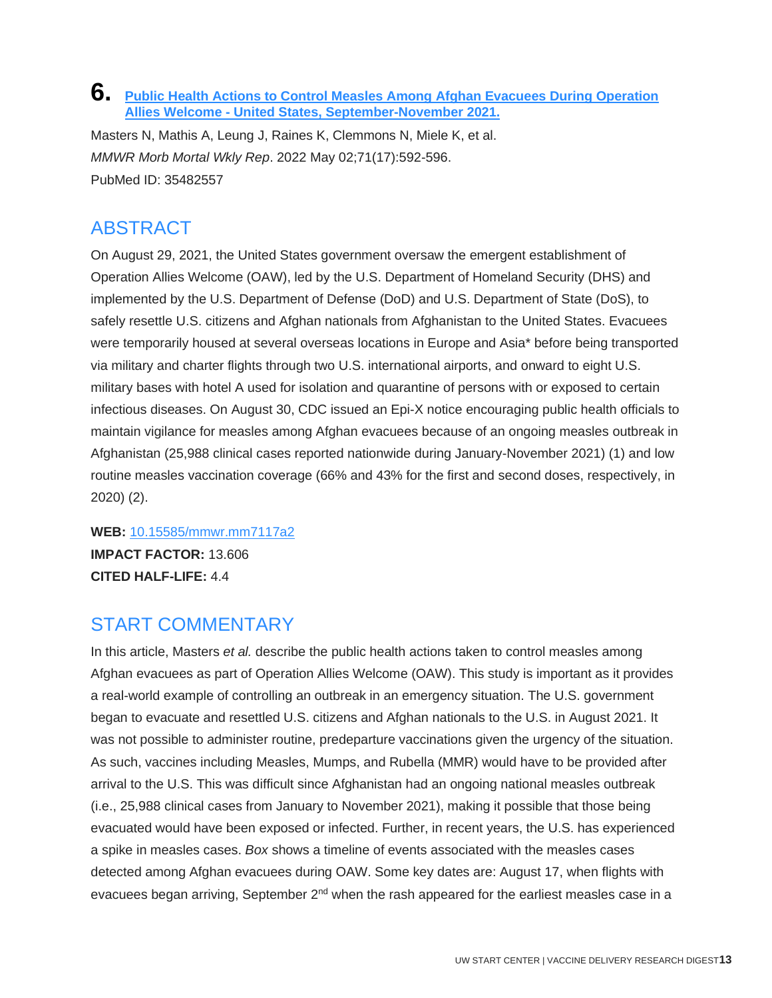#### **6. [Public Health Actions to Control Measles Among Afghan Evacuees During Operation](http://doi.org/10.15585/mmwr.mm7117a2)  Allies Welcome - [United States, September-November 2021.](http://doi.org/10.15585/mmwr.mm7117a2)**

Masters N, Mathis A, Leung J, Raines K, Clemmons N, Miele K, et al. *MMWR Morb Mortal Wkly Rep*. 2022 May 02;71(17):592-596. PubMed ID: 35482557

## ABSTRACT

On August 29, 2021, the United States government oversaw the emergent establishment of Operation Allies Welcome (OAW), led by the U.S. Department of Homeland Security (DHS) and implemented by the U.S. Department of Defense (DoD) and U.S. Department of State (DoS), to safely resettle U.S. citizens and Afghan nationals from Afghanistan to the United States. Evacuees were temporarily housed at several overseas locations in Europe and Asia\* before being transported via military and charter flights through two U.S. international airports, and onward to eight U.S. military bases with hotel A used for isolation and quarantine of persons with or exposed to certain infectious diseases. On August 30, CDC issued an Epi-X notice encouraging public health officials to maintain vigilance for measles among Afghan evacuees because of an ongoing measles outbreak in Afghanistan (25,988 clinical cases reported nationwide during January-November 2021) (1) and low routine measles vaccination coverage (66% and 43% for the first and second doses, respectively, in 2020) (2).

**WEB:** [10.15585/mmwr.mm7117a2](http://doi.org/10.15585/mmwr.mm7117a2) **IMPACT FACTOR:** 13.606 **CITED HALF-LIFE:** 4.4

## START COMMENTARY

In this article, Masters *et al.* describe the public health actions taken to control measles among Afghan evacuees as part of Operation Allies Welcome (OAW). This study is important as it provides a real-world example of controlling an outbreak in an emergency situation. The U.S. government began to evacuate and resettled U.S. citizens and Afghan nationals to the U.S. in August 2021. It was not possible to administer routine, predeparture vaccinations given the urgency of the situation. As such, vaccines including Measles, Mumps, and Rubella (MMR) would have to be provided after arrival to the U.S. This was difficult since Afghanistan had an ongoing national measles outbreak (i.e., 25,988 clinical cases from January to November 2021), making it possible that those being evacuated would have been exposed or infected. Further, in recent years, the U.S. has experienced a spike in measles cases. *Box* shows a timeline of events associated with the measles cases detected among Afghan evacuees during OAW. Some key dates are: August 17, when flights with evacuees began arriving, September  $2<sup>nd</sup>$  when the rash appeared for the earliest measles case in a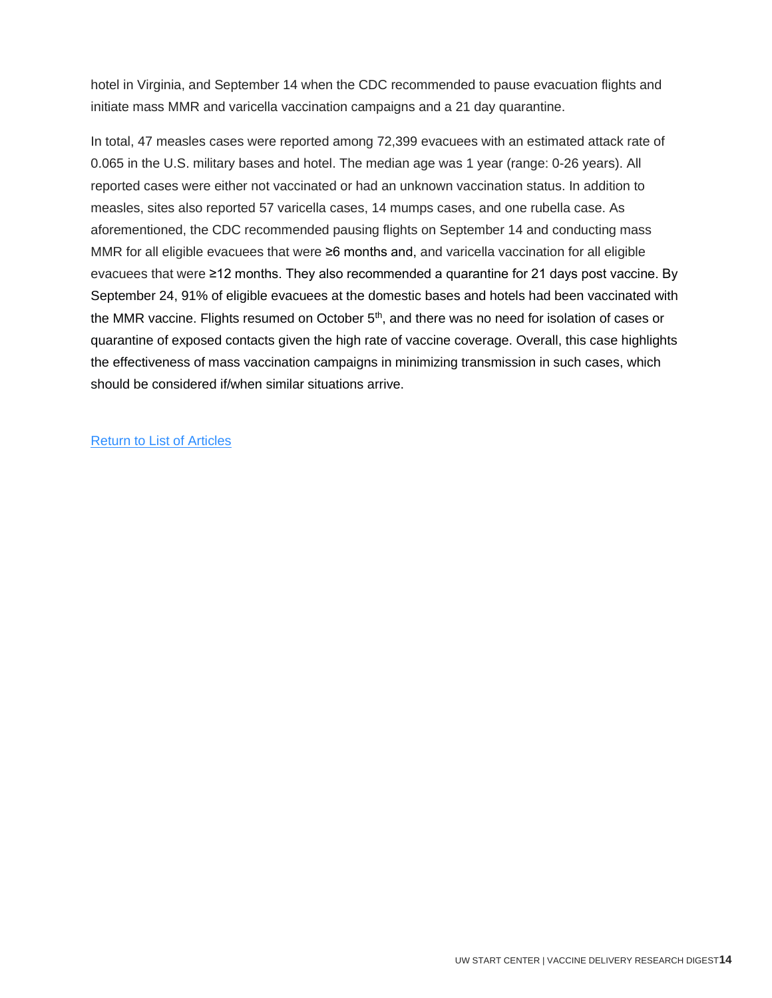hotel in Virginia, and September 14 when the CDC recommended to pause evacuation flights and initiate mass MMR and varicella vaccination campaigns and a 21 day quarantine.

<span id="page-14-0"></span>In total, 47 measles cases were reported among 72,399 evacuees with an estimated attack rate of 0.065 in the U.S. military bases and hotel. The median age was 1 year (range: 0-26 years). All reported cases were either not vaccinated or had an unknown vaccination status. In addition to measles, sites also reported 57 varicella cases, 14 mumps cases, and one rubella case. As aforementioned, the CDC recommended pausing flights on September 14 and conducting mass MMR for all eligible evacuees that were ≥6 months and, and varicella vaccination for all eligible evacuees that were ≥12 months. They also recommended a quarantine for 21 days post vaccine. By September 24, 91% of eligible evacuees at the domestic bases and hotels had been vaccinated with the MMR vaccine. Flights resumed on October  $5<sup>th</sup>$ , and there was no need for isolation of cases or quarantine of exposed contacts given the high rate of vaccine coverage. Overall, this case highlights the effectiveness of mass vaccination campaigns in minimizing transmission in such cases, which should be considered if/when similar situations arrive.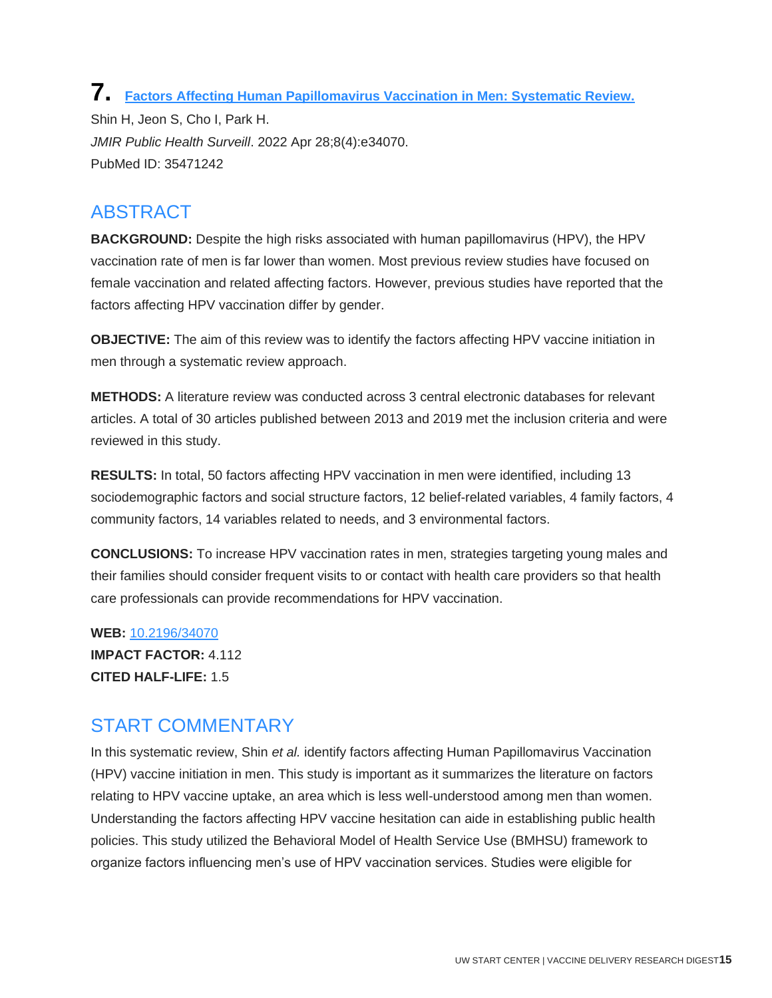**7. [Factors Affecting Human Papillomavirus Vaccination in Men: Systematic Review.](http://doi.org/10.2196/34070)** Shin H, Jeon S, Cho I, Park H. *JMIR Public Health Surveill*. 2022 Apr 28;8(4):e34070. PubMed ID: 35471242

#### ABSTRACT

**BACKGROUND:** Despite the high risks associated with human papillomavirus (HPV), the HPV vaccination rate of men is far lower than women. Most previous review studies have focused on female vaccination and related affecting factors. However, previous studies have reported that the factors affecting HPV vaccination differ by gender.

**OBJECTIVE:** The aim of this review was to identify the factors affecting HPV vaccine initiation in men through a systematic review approach.

**METHODS:** A literature review was conducted across 3 central electronic databases for relevant articles. A total of 30 articles published between 2013 and 2019 met the inclusion criteria and were reviewed in this study.

**RESULTS:** In total, 50 factors affecting HPV vaccination in men were identified, including 13 sociodemographic factors and social structure factors, 12 belief-related variables, 4 family factors, 4 community factors, 14 variables related to needs, and 3 environmental factors.

**CONCLUSIONS:** To increase HPV vaccination rates in men, strategies targeting young males and their families should consider frequent visits to or contact with health care providers so that health care professionals can provide recommendations for HPV vaccination.

**WEB:** [10.2196/34070](http://doi.org/10.2196/34070) **IMPACT FACTOR:** 4.112 **CITED HALF-LIFE:** 1.5

## START COMMENTARY

In this systematic review, Shin *et al.* identify factors affecting Human Papillomavirus Vaccination (HPV) vaccine initiation in men. This study is important as it summarizes the literature on factors relating to HPV vaccine uptake, an area which is less well-understood among men than women. Understanding the factors affecting HPV vaccine hesitation can aide in establishing public health policies. This study utilized the Behavioral Model of Health Service Use (BMHSU) framework to organize factors influencing men's use of HPV vaccination services. Studies were eligible for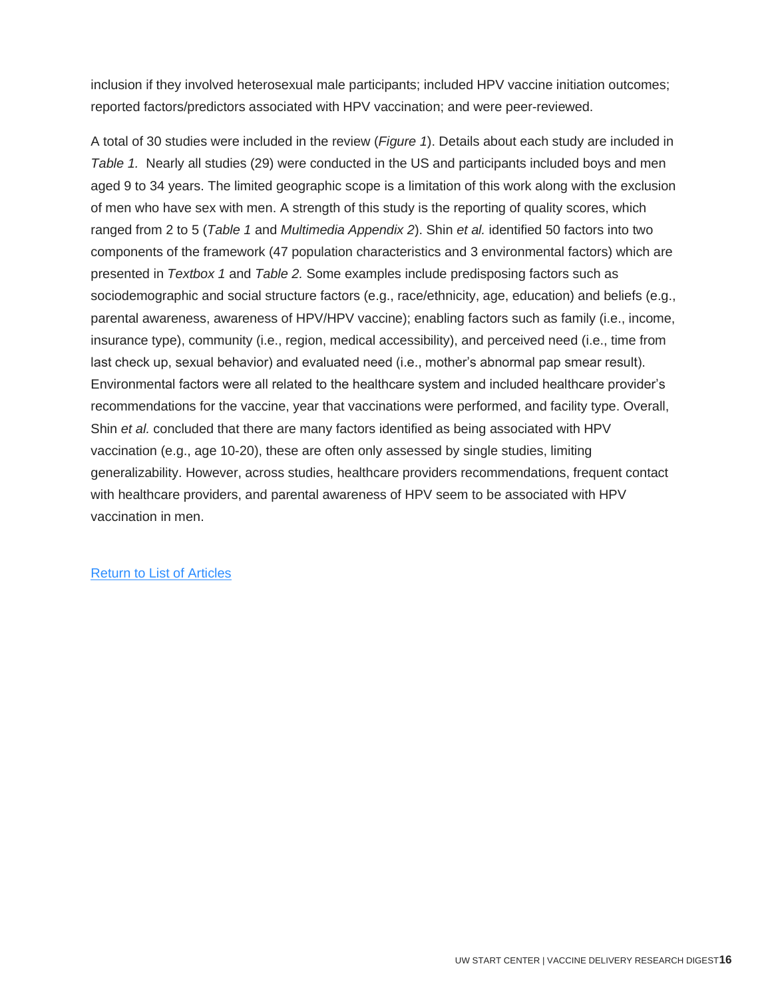inclusion if they involved heterosexual male participants; included HPV vaccine initiation outcomes; reported factors/predictors associated with HPV vaccination; and were peer-reviewed.

<span id="page-16-0"></span>A total of 30 studies were included in the review (*Figure 1*). Details about each study are included in *Table 1.* Nearly all studies (29) were conducted in the US and participants included boys and men aged 9 to 34 years. The limited geographic scope is a limitation of this work along with the exclusion of men who have sex with men. A strength of this study is the reporting of quality scores, which ranged from 2 to 5 (*Table 1* and *Multimedia Appendix 2*). Shin *et al.* identified 50 factors into two components of the framework (47 population characteristics and 3 environmental factors) which are presented in *Textbox 1* and *Table 2.* Some examples include predisposing factors such as sociodemographic and social structure factors (e.g., race/ethnicity, age, education) and beliefs (e.g., parental awareness, awareness of HPV/HPV vaccine); enabling factors such as family (i.e., income, insurance type), community (i.e., region, medical accessibility), and perceived need (i.e., time from last check up, sexual behavior) and evaluated need (i.e., mother's abnormal pap smear result). Environmental factors were all related to the healthcare system and included healthcare provider's recommendations for the vaccine, year that vaccinations were performed, and facility type. Overall, Shin *et al.* concluded that there are many factors identified as being associated with HPV vaccination (e.g., age 10-20), these are often only assessed by single studies, limiting generalizability. However, across studies, healthcare providers recommendations, frequent contact with healthcare providers, and parental awareness of HPV seem to be associated with HPV vaccination in men.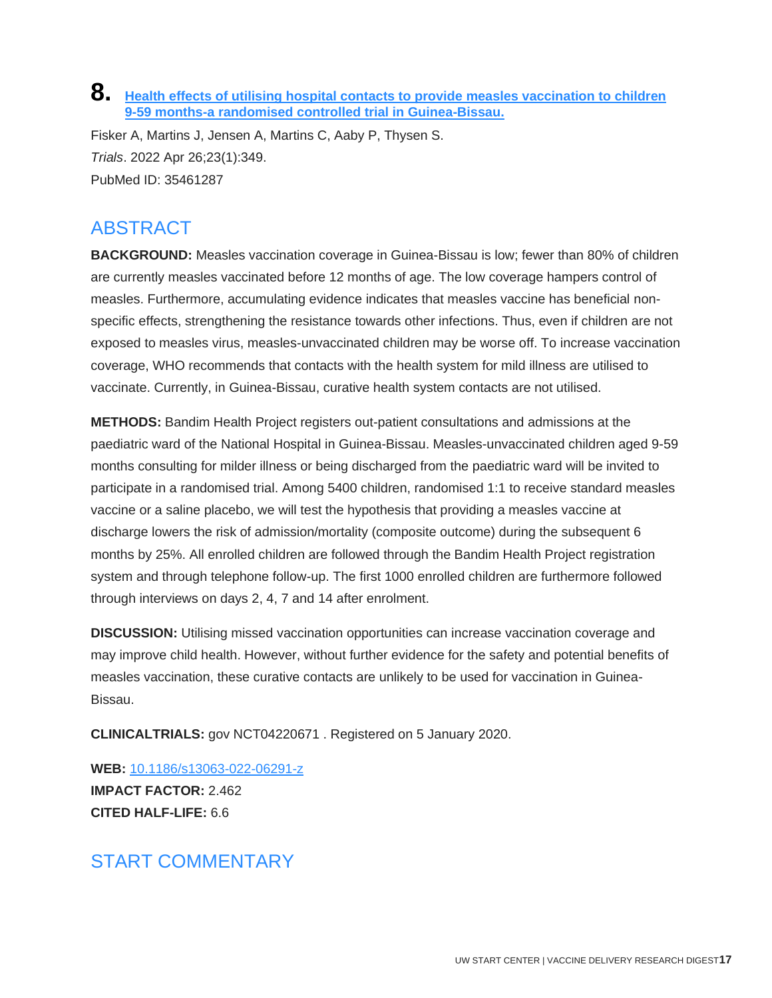#### **8. [Health effects of utilising hospital contacts to provide measles vaccination to children](http://doi.org/10.1186/s13063-022-06291-z)  9-59 [months-a randomised controlled trial in Guinea-Bissau.](http://doi.org/10.1186/s13063-022-06291-z)**

Fisker A, Martins J, Jensen A, Martins C, Aaby P, Thysen S. *Trials*. 2022 Apr 26;23(1):349. PubMed ID: 35461287

## ABSTRACT

**BACKGROUND:** Measles vaccination coverage in Guinea-Bissau is low; fewer than 80% of children are currently measles vaccinated before 12 months of age. The low coverage hampers control of measles. Furthermore, accumulating evidence indicates that measles vaccine has beneficial nonspecific effects, strengthening the resistance towards other infections. Thus, even if children are not exposed to measles virus, measles-unvaccinated children may be worse off. To increase vaccination coverage, WHO recommends that contacts with the health system for mild illness are utilised to vaccinate. Currently, in Guinea-Bissau, curative health system contacts are not utilised.

**METHODS:** Bandim Health Project registers out-patient consultations and admissions at the paediatric ward of the National Hospital in Guinea-Bissau. Measles-unvaccinated children aged 9-59 months consulting for milder illness or being discharged from the paediatric ward will be invited to participate in a randomised trial. Among 5400 children, randomised 1:1 to receive standard measles vaccine or a saline placebo, we will test the hypothesis that providing a measles vaccine at discharge lowers the risk of admission/mortality (composite outcome) during the subsequent 6 months by 25%. All enrolled children are followed through the Bandim Health Project registration system and through telephone follow-up. The first 1000 enrolled children are furthermore followed through interviews on days 2, 4, 7 and 14 after enrolment.

**DISCUSSION:** Utilising missed vaccination opportunities can increase vaccination coverage and may improve child health. However, without further evidence for the safety and potential benefits of measles vaccination, these curative contacts are unlikely to be used for vaccination in Guinea-Bissau.

**CLINICALTRIALS:** gov NCT04220671 . Registered on 5 January 2020.

**WEB:** [10.1186/s13063-022-06291-z](http://doi.org/10.1186/s13063-022-06291-z) **IMPACT FACTOR:** 2.462 **CITED HALF-LIFE:** 6.6

## START COMMENTARY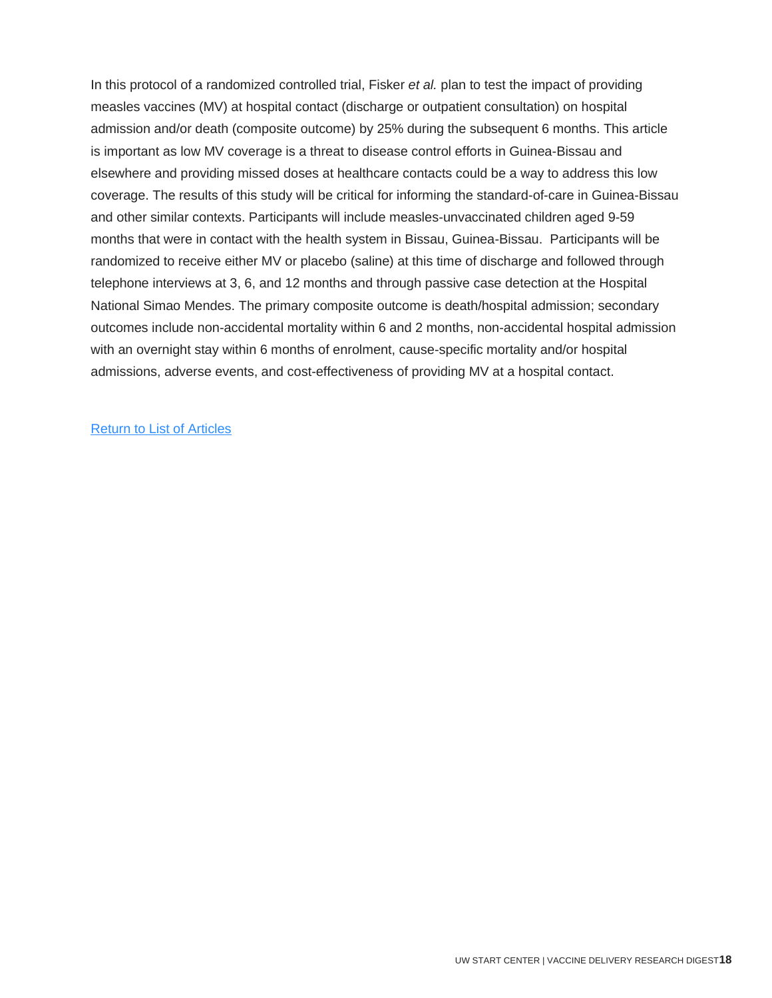<span id="page-18-0"></span>In this protocol of a randomized controlled trial, Fisker *et al.* plan to test the impact of providing measles vaccines (MV) at hospital contact (discharge or outpatient consultation) on hospital admission and/or death (composite outcome) by 25% during the subsequent 6 months. This article is important as low MV coverage is a threat to disease control efforts in Guinea-Bissau and elsewhere and providing missed doses at healthcare contacts could be a way to address this low coverage. The results of this study will be critical for informing the standard-of-care in Guinea-Bissau and other similar contexts. Participants will include measles-unvaccinated children aged 9-59 months that were in contact with the health system in Bissau, Guinea-Bissau. Participants will be randomized to receive either MV or placebo (saline) at this time of discharge and followed through telephone interviews at 3, 6, and 12 months and through passive case detection at the Hospital National Simao Mendes. The primary composite outcome is death/hospital admission; secondary outcomes include non-accidental mortality within 6 and 2 months, non-accidental hospital admission with an overnight stay within 6 months of enrolment, cause-specific mortality and/or hospital admissions, adverse events, and cost-effectiveness of providing MV at a hospital contact.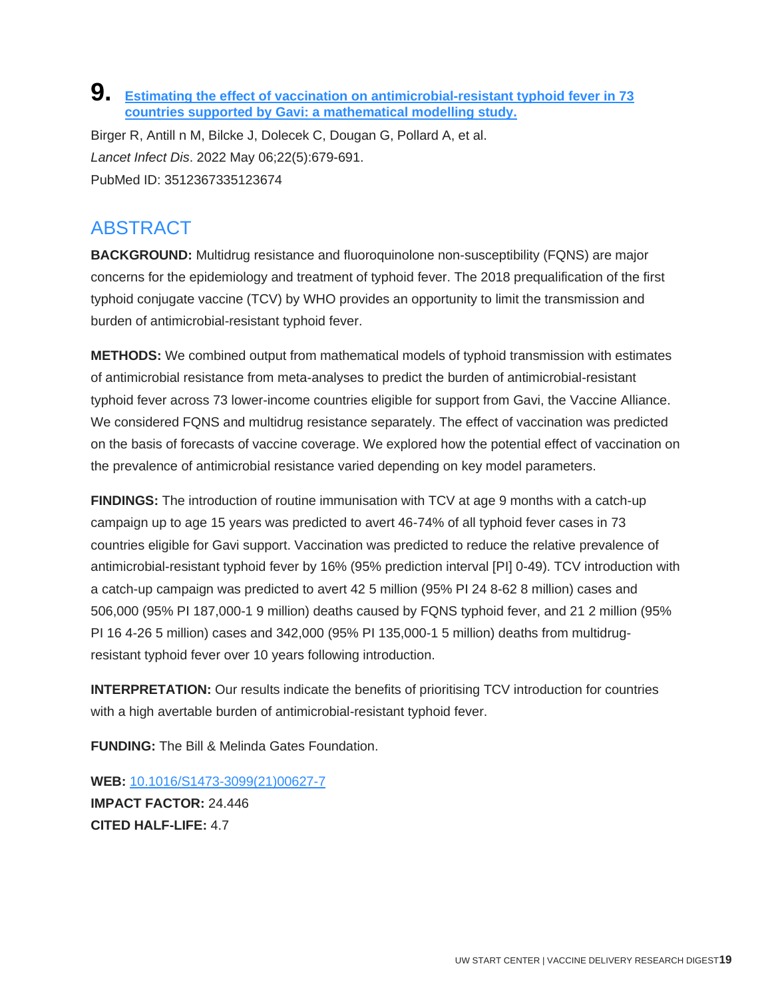#### **9. [Estimating the effect of vaccination on antimicrobial-resistant typhoid fever in 73](http://doi.org/10.1016/S1473-3099(21)00627-7)  [countries supported by Gavi: a mathematical modelling study.](http://doi.org/10.1016/S1473-3099(21)00627-7)**

Birger R, Antill n M, Bilcke J, Dolecek C, Dougan G, Pollard A, et al. *Lancet Infect Dis*. 2022 May 06;22(5):679-691. PubMed ID: 3512367335123674

## ABSTRACT

**BACKGROUND:** Multidrug resistance and fluoroquinolone non-susceptibility (FQNS) are major concerns for the epidemiology and treatment of typhoid fever. The 2018 prequalification of the first typhoid conjugate vaccine (TCV) by WHO provides an opportunity to limit the transmission and burden of antimicrobial-resistant typhoid fever.

**METHODS:** We combined output from mathematical models of typhoid transmission with estimates of antimicrobial resistance from meta-analyses to predict the burden of antimicrobial-resistant typhoid fever across 73 lower-income countries eligible for support from Gavi, the Vaccine Alliance. We considered FQNS and multidrug resistance separately. The effect of vaccination was predicted on the basis of forecasts of vaccine coverage. We explored how the potential effect of vaccination on the prevalence of antimicrobial resistance varied depending on key model parameters.

**FINDINGS:** The introduction of routine immunisation with TCV at age 9 months with a catch-up campaign up to age 15 years was predicted to avert 46-74% of all typhoid fever cases in 73 countries eligible for Gavi support. Vaccination was predicted to reduce the relative prevalence of antimicrobial-resistant typhoid fever by 16% (95% prediction interval [PI] 0-49). TCV introduction with a catch-up campaign was predicted to avert 42 5 million (95% PI 24 8-62 8 million) cases and 506,000 (95% PI 187,000-1 9 million) deaths caused by FQNS typhoid fever, and 21 2 million (95% PI 16 4-26 5 million) cases and 342,000 (95% PI 135,000-1 5 million) deaths from multidrugresistant typhoid fever over 10 years following introduction.

**INTERPRETATION:** Our results indicate the benefits of prioritising TCV introduction for countries with a high avertable burden of antimicrobial-resistant typhoid fever.

**FUNDING:** The Bill & Melinda Gates Foundation.

**WEB:** [10.1016/S1473-3099\(21\)00627-7](http://doi.org/10.1016/S1473-3099(21)00627-7) **IMPACT FACTOR:** 24.446 **CITED HALF-LIFE:** 4.7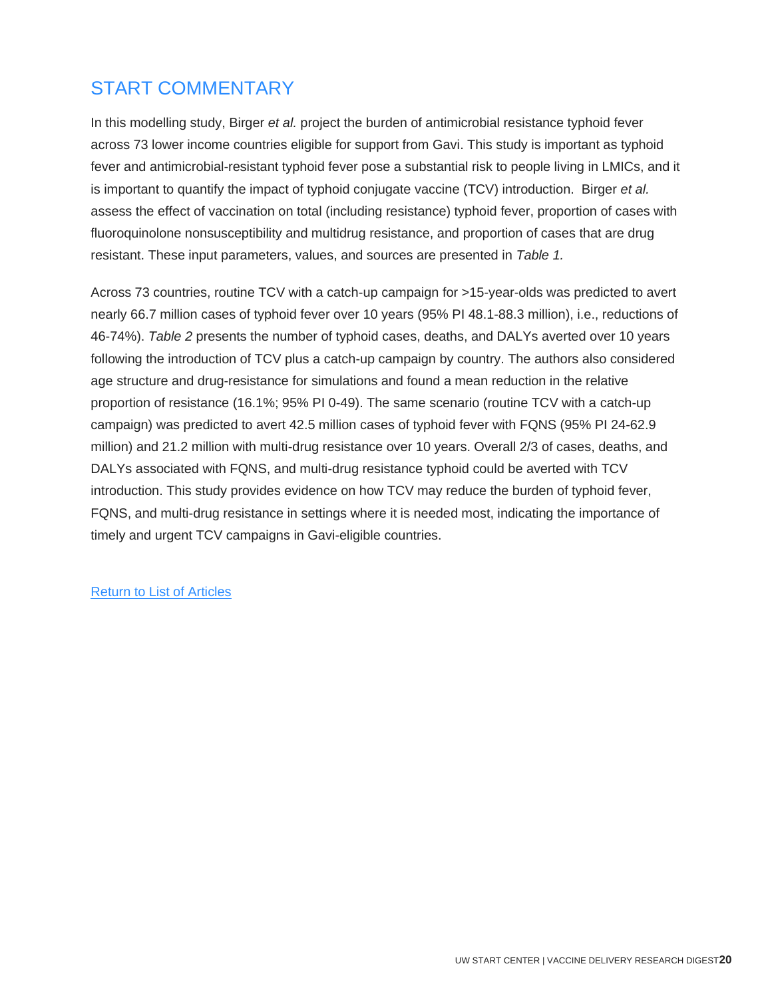## START COMMENTARY

In this modelling study, Birger *et al.* project the burden of antimicrobial resistance typhoid fever across 73 lower income countries eligible for support from Gavi. This study is important as typhoid fever and antimicrobial-resistant typhoid fever pose a substantial risk to people living in LMICs, and it is important to quantify the impact of typhoid conjugate vaccine (TCV) introduction. Birger *et al.*  assess the effect of vaccination on total (including resistance) typhoid fever, proportion of cases with fluoroquinolone nonsusceptibility and multidrug resistance, and proportion of cases that are drug resistant. These input parameters, values, and sources are presented in *Table 1.* 

<span id="page-20-0"></span>Across 73 countries, routine TCV with a catch-up campaign for >15-year-olds was predicted to avert nearly 66.7 million cases of typhoid fever over 10 years (95% PI 48.1-88.3 million), i.e., reductions of 46-74%). *Table 2* presents the number of typhoid cases, deaths, and DALYs averted over 10 years following the introduction of TCV plus a catch-up campaign by country. The authors also considered age structure and drug-resistance for simulations and found a mean reduction in the relative proportion of resistance (16.1%; 95% PI 0-49). The same scenario (routine TCV with a catch-up campaign) was predicted to avert 42.5 million cases of typhoid fever with FQNS (95% PI 24-62.9 million) and 21.2 million with multi-drug resistance over 10 years. Overall 2/3 of cases, deaths, and DALYs associated with FQNS, and multi-drug resistance typhoid could be averted with TCV introduction. This study provides evidence on how TCV may reduce the burden of typhoid fever, FQNS, and multi-drug resistance in settings where it is needed most, indicating the importance of timely and urgent TCV campaigns in Gavi-eligible countries.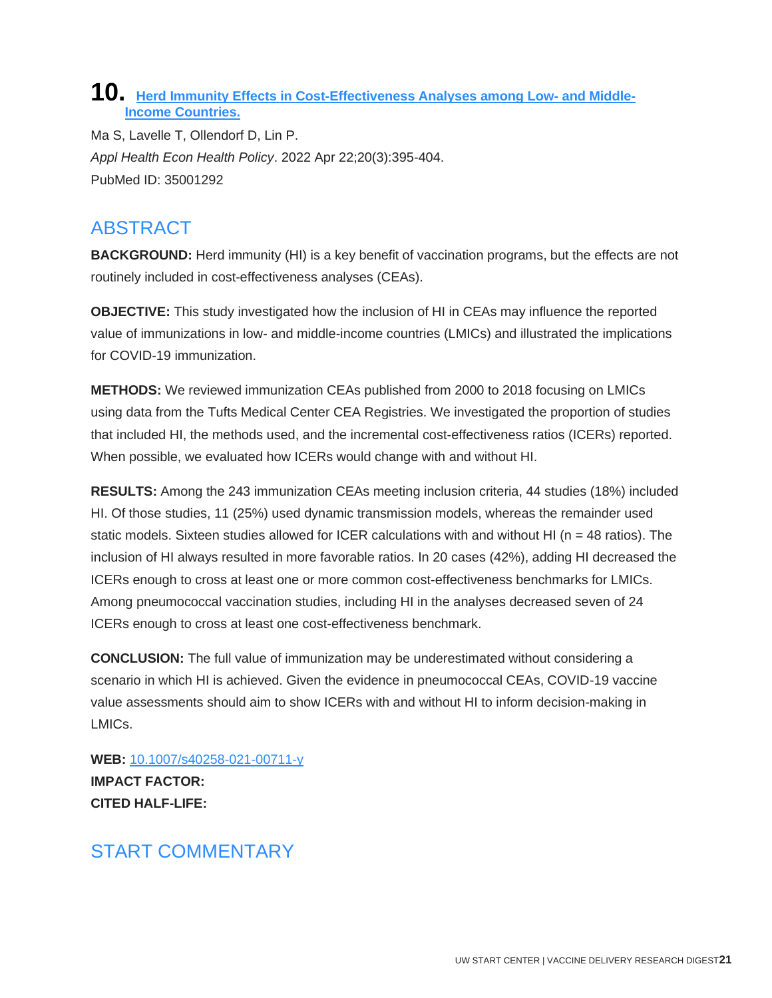#### **10. [Herd Immunity Effects in Cost-Effectiveness Analyses among Low-](http://doi.org/10.1007/s40258-021-00711-y) and Middle-[Income Countries.](http://doi.org/10.1007/s40258-021-00711-y)**

Ma S, Lavelle T, Ollendorf D, Lin P. *Appl Health Econ Health Policy*. 2022 Apr 22;20(3):395-404. PubMed ID: 35001292

## ABSTRACT

**BACKGROUND:** Herd immunity (HI) is a key benefit of vaccination programs, but the effects are not routinely included in cost-effectiveness analyses (CEAs).

**OBJECTIVE:** This study investigated how the inclusion of HI in CEAs may influence the reported value of immunizations in low- and middle-income countries (LMICs) and illustrated the implications for COVID-19 immunization.

**METHODS:** We reviewed immunization CEAs published from 2000 to 2018 focusing on LMICs using data from the Tufts Medical Center CEA Registries. We investigated the proportion of studies that included HI, the methods used, and the incremental cost-effectiveness ratios (ICERs) reported. When possible, we evaluated how ICERs would change with and without HI.

**RESULTS:** Among the 243 immunization CEAs meeting inclusion criteria, 44 studies (18%) included HI. Of those studies, 11 (25%) used dynamic transmission models, whereas the remainder used static models. Sixteen studies allowed for ICER calculations with and without HI ( $n = 48$  ratios). The inclusion of HI always resulted in more favorable ratios. In 20 cases (42%), adding HI decreased the ICERs enough to cross at least one or more common cost-effectiveness benchmarks for LMICs. Among pneumococcal vaccination studies, including HI in the analyses decreased seven of 24 ICERs enough to cross at least one cost-effectiveness benchmark.

**CONCLUSION:** The full value of immunization may be underestimated without considering a scenario in which HI is achieved. Given the evidence in pneumococcal CEAs, COVID-19 vaccine value assessments should aim to show ICERs with and without HI to inform decision-making in LMICs.

**WEB:** [10.1007/s40258-021-00711-y](http://doi.org/10.1007/s40258-021-00711-y) **IMPACT FACTOR: CITED HALF-LIFE:**

## START COMMENTARY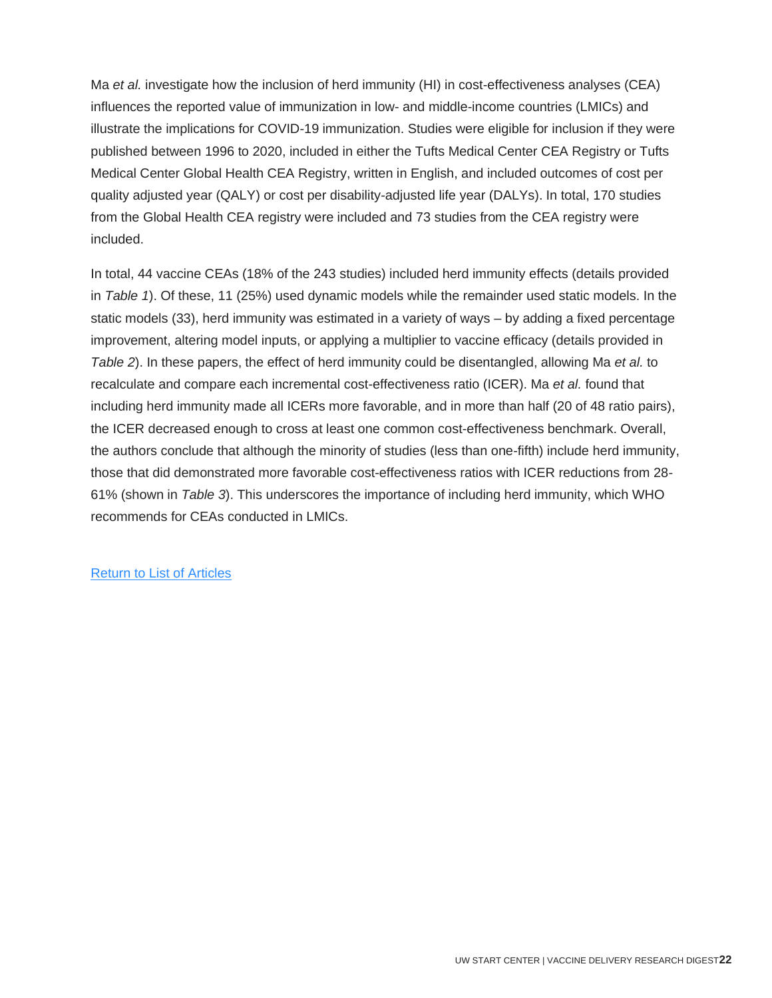Ma *et al.* investigate how the inclusion of herd immunity (HI) in cost-effectiveness analyses (CEA) influences the reported value of immunization in low- and middle-income countries (LMICs) and illustrate the implications for COVID-19 immunization. Studies were eligible for inclusion if they were published between 1996 to 2020, included in either the Tufts Medical Center CEA Registry or Tufts Medical Center Global Health CEA Registry, written in English, and included outcomes of cost per quality adjusted year (QALY) or cost per disability-adjusted life year (DALYs). In total, 170 studies from the Global Health CEA registry were included and 73 studies from the CEA registry were included.

In total, 44 vaccine CEAs (18% of the 243 studies) included herd immunity effects (details provided in *Table 1*). Of these, 11 (25%) used dynamic models while the remainder used static models. In the static models (33), herd immunity was estimated in a variety of ways – by adding a fixed percentage improvement, altering model inputs, or applying a multiplier to vaccine efficacy (details provided in *Table 2*). In these papers, the effect of herd immunity could be disentangled, allowing Ma *et al.* to recalculate and compare each incremental cost-effectiveness ratio (ICER). Ma *et al.* found that including herd immunity made all ICERs more favorable, and in more than half (20 of 48 ratio pairs), the ICER decreased enough to cross at least one common cost-effectiveness benchmark. Overall, the authors conclude that although the minority of studies (less than one-fifth) include herd immunity, those that did demonstrated more favorable cost-effectiveness ratios with ICER reductions from 28- 61% (shown in *Table 3*). This underscores the importance of including herd immunity, which WHO recommends for CEAs conducted in LMICs.